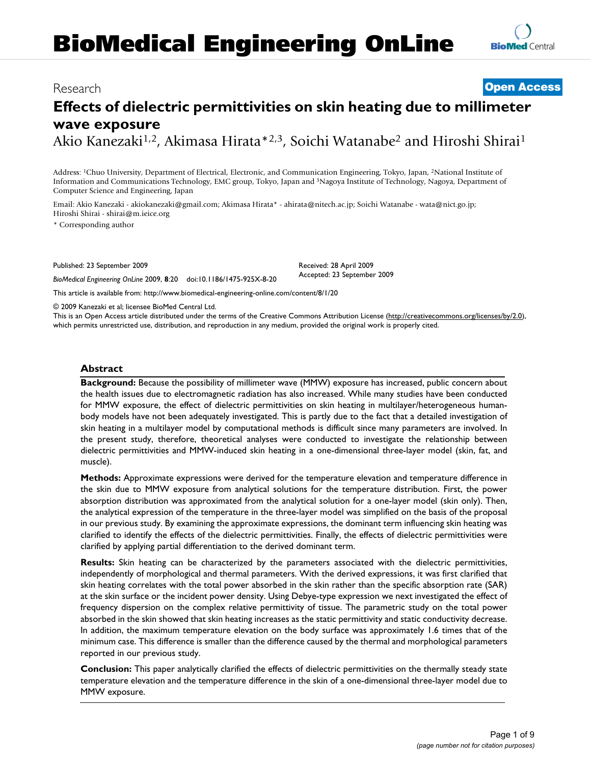# **BioMedical Engineering OnLine**

### Research **[Open Access](http://www.biomedcentral.com/info/about/charter/)**

## **Effects of dielectric permittivities on skin heating due to millimeter wave exposure**

Akio Kanezaki<sup>1,2</sup>, Akimasa Hirata<sup>\*2,3</sup>, Soichi Watanabe<sup>2</sup> and Hiroshi Shirai<sup>1</sup>

Address: 1Chuo University, Department of Electrical, Electronic, and Communication Engineering, Tokyo, Japan, 2National Institute of Information and Communications Technology, EMC group, Tokyo, Japan and 3Nagoya Institute of Technology, Nagoya, Department of Computer Science and Engineering, Japan

Email: Akio Kanezaki - akiokanezaki@gmail.com; Akimasa Hirata\* - ahirata@nitech.ac.jp; Soichi Watanabe - wata@nict.go.jp; Hiroshi Shirai - shirai@m.ieice.org

\* Corresponding author

Published: 23 September 2009

*BioMedical Engineering OnLine* 2009, **8**:20 doi:10.1186/1475-925X-8-20

Received: 28 April 2009 Accepted: 23 September 2009

[This article is available from: http://www.biomedical-engineering-online.com/content/8/1/20](http://www.biomedical-engineering-online.com/content/8/1/20)

© 2009 Kanezaki et al; licensee BioMed Central Ltd.

This is an Open Access article distributed under the terms of the Creative Commons Attribution License [\(http://creativecommons.org/licenses/by/2.0\)](http://creativecommons.org/licenses/by/2.0), which permits unrestricted use, distribution, and reproduction in any medium, provided the original work is properly cited.

#### **Abstract**

**Background:** Because the possibility of millimeter wave (MMW) exposure has increased, public concern about the health issues due to electromagnetic radiation has also increased. While many studies have been conducted for MMW exposure, the effect of dielectric permittivities on skin heating in multilayer/heterogeneous humanbody models have not been adequately investigated. This is partly due to the fact that a detailed investigation of skin heating in a multilayer model by computational methods is difficult since many parameters are involved. In the present study, therefore, theoretical analyses were conducted to investigate the relationship between dielectric permittivities and MMW-induced skin heating in a one-dimensional three-layer model (skin, fat, and muscle).

**Methods:** Approximate expressions were derived for the temperature elevation and temperature difference in the skin due to MMW exposure from analytical solutions for the temperature distribution. First, the power absorption distribution was approximated from the analytical solution for a one-layer model (skin only). Then, the analytical expression of the temperature in the three-layer model was simplified on the basis of the proposal in our previous study. By examining the approximate expressions, the dominant term influencing skin heating was clarified to identify the effects of the dielectric permittivities. Finally, the effects of dielectric permittivities were clarified by applying partial differentiation to the derived dominant term.

**Results:** Skin heating can be characterized by the parameters associated with the dielectric permittivities, independently of morphological and thermal parameters. With the derived expressions, it was first clarified that skin heating correlates with the total power absorbed in the skin rather than the specific absorption rate (SAR) at the skin surface or the incident power density. Using Debye-type expression we next investigated the effect of frequency dispersion on the complex relative permittivity of tissue. The parametric study on the total power absorbed in the skin showed that skin heating increases as the static permittivity and static conductivity decrease. In addition, the maximum temperature elevation on the body surface was approximately 1.6 times that of the minimum case. This difference is smaller than the difference caused by the thermal and morphological parameters reported in our previous study.

**Conclusion:** This paper analytically clarified the effects of dielectric permittivities on the thermally steady state temperature elevation and the temperature difference in the skin of a one-dimensional three-layer model due to MMW exposure.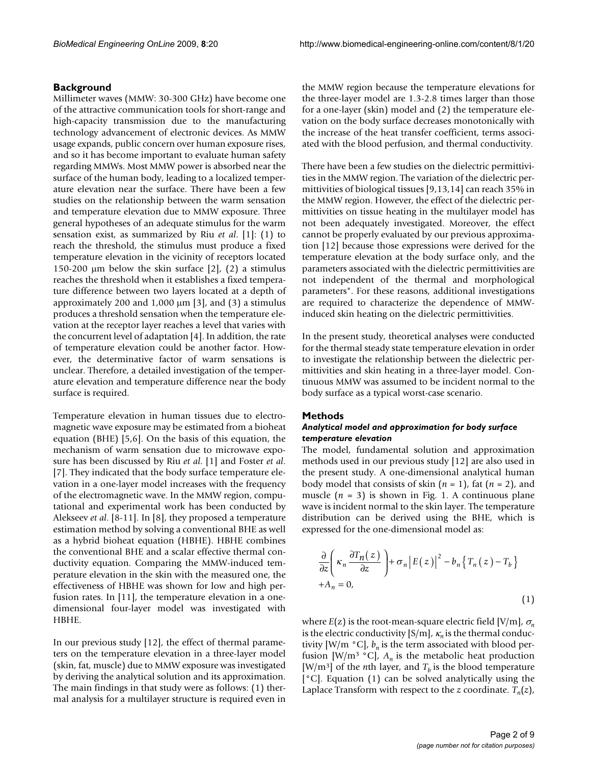#### **Background**

Millimeter waves (MMW: 30-300 GHz) have become one of the attractive communication tools for short-range and high-capacity transmission due to the manufacturing technology advancement of electronic devices. As MMW usage expands, public concern over human exposure rises, and so it has become important to evaluate human safety regarding MMWs. Most MMW power is absorbed near the surface of the human body, leading to a localized temperature elevation near the surface. There have been a few studies on the relationship between the warm sensation and temperature elevation due to MMW exposure. Three general hypotheses of an adequate stimulus for the warm sensation exist, as summarized by Riu *et al*. [1]: (1) to reach the threshold, the stimulus must produce a fixed temperature elevation in the vicinity of receptors located 150-200 μm below the skin surface  $[2]$ ,  $(2)$  a stimulus reaches the threshold when it establishes a fixed temperature difference between two layers located at a depth of approximately 200 and  $1,000 \mu m$  [3], and (3) a stimulus produces a threshold sensation when the temperature elevation at the receptor layer reaches a level that varies with the concurrent level of adaptation [4]. In addition, the rate of temperature elevation could be another factor. However, the determinative factor of warm sensations is unclear. Therefore, a detailed investigation of the temperature elevation and temperature difference near the body surface is required.

Temperature elevation in human tissues due to electromagnetic wave exposure may be estimated from a bioheat equation (BHE) [5,6]. On the basis of this equation, the mechanism of warm sensation due to microwave exposure has been discussed by Riu *et al*. [1] and Foster *et al*. [7]. They indicated that the body surface temperature elevation in a one-layer model increases with the frequency of the electromagnetic wave. In the MMW region, computational and experimental work has been conducted by Alekseev *et al*. [8-11]. In [8], they proposed a temperature estimation method by solving a conventional BHE as well as a hybrid bioheat equation (HBHE). HBHE combines the conventional BHE and a scalar effective thermal conductivity equation. Comparing the MMW-induced temperature elevation in the skin with the measured one, the effectiveness of HBHE was shown for low and high perfusion rates. In [11], the temperature elevation in a onedimensional four-layer model was investigated with HBHE.

In our previous study [12], the effect of thermal parameters on the temperature elevation in a three-layer model (skin, fat, muscle) due to MMW exposure was investigated by deriving the analytical solution and its approximation. The main findings in that study were as follows: (1) thermal analysis for a multilayer structure is required even in the MMW region because the temperature elevations for the three-layer model are 1.3-2.8 times larger than those for a one-layer (skin) model and (2) the temperature elevation on the body surface decreases monotonically with the increase of the heat transfer coefficient, terms associated with the blood perfusion, and thermal conductivity.

There have been a few studies on the dielectric permittivities in the MMW region. The variation of the dielectric permittivities of biological tissues [9,13,14] can reach 35% in the MMW region. However, the effect of the dielectric permittivities on tissue heating in the multilayer model has not been adequately investigated. Moreover, the effect cannot be properly evaluated by our previous approximation [12] because those expressions were derived for the temperature elevation at the body surface only, and the parameters associated with the dielectric permittivities are not independent of the thermal and morphological parameters". For these reasons, additional investigations are required to characterize the dependence of MMWinduced skin heating on the dielectric permittivities.

In the present study, theoretical analyses were conducted for the thermal steady state temperature elevation in order to investigate the relationship between the dielectric permittivities and skin heating in a three-layer model. Continuous MMW was assumed to be incident normal to the body surface as a typical worst-case scenario.

#### **Methods**

#### *Analytical model and approximation for body surface temperature elevation*

The model, fundamental solution and approximation methods used in our previous study [12] are also used in the present study. A one-dimensional analytical human body model that consists of skin (*n* = 1), fat (*n* = 2), and muscle  $(n = 3)$  is shown in Fig. 1. A continuous plane wave is incident normal to the skin layer. The temperature distribution can be derived using the BHE, which is expressed for the one-dimensional model as:

$$
\frac{\partial}{\partial z} \left( \kappa_n \frac{\partial T_n(z)}{\partial z} \right) + \sigma_n |E(z)|^2 - b_n \{ T_n(z) - T_b \}
$$
  
+
$$
A_n = 0,
$$
\n(1)

where  $E(z)$  is the root-mean-square electric field [V/m],  $\sigma_n$ is the electric conductivity  $[S/m]$ ,  $\kappa_n$  is the thermal conductivity [W/m  $\degree$ C],  $b_n$  is the term associated with blood perfusion [W/m<sup>3</sup> °C],  $A_n$  is the metabolic heat production [W/m<sup>3</sup>] of the *n*th layer, and  $T<sub>b</sub>$  is the blood temperature [°C]. Equation (1) can be solved analytically using the Laplace Transform with respect to the *z* coordinate.  $T_n(z)$ ,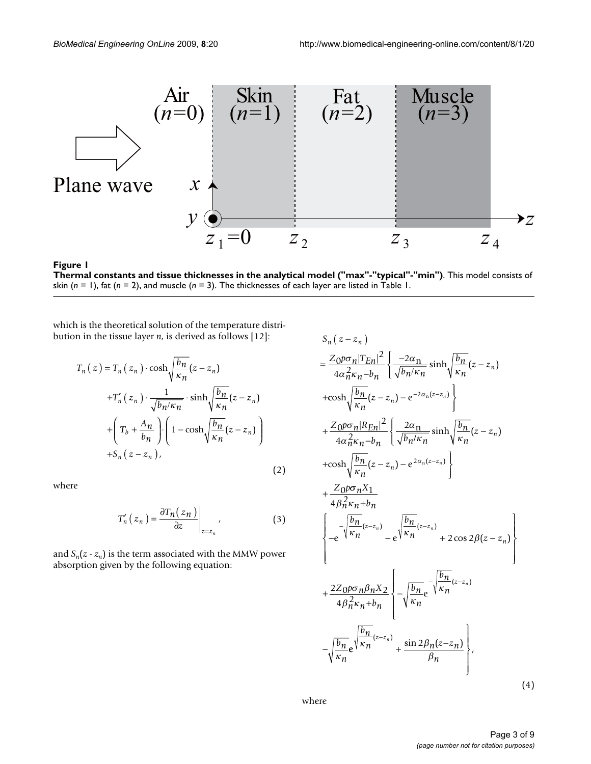

Thermal constants and tissue thicknesses in **Figure 1** the analytical model ("max"-"typical"-"min") **Thermal constants and tissue thicknesses in the analytical model ("max"-"typical"-"min")**. This model consists of skin (*n* = 1), fat (*n* = 2), and muscle (*n* = 3). The thicknesses of each layer are listed in Table 1.

which is the theoretical solution of the temperature distribution in the tissue layer *n*, is derived as follows [12]:

$$
T_n(z) = T_n(z_n) \cdot \cosh\sqrt{\frac{b_n}{\kappa_n}}(z - z_n)
$$
  
+
$$
T'_n(z_n) \cdot \frac{1}{\sqrt{b_n/\kappa_n}} \cdot \sinh\sqrt{\frac{b_n}{\kappa_n}}(z - z_n)
$$
  
+
$$
\left(T_b + \frac{A_n}{b_n}\right) \cdot \left(1 - \cosh\sqrt{\frac{b_n}{\kappa_n}}(z - z_n)\right)
$$
  
+
$$
S_n(z - z_n),
$$
 (2)

where

$$
T'_{n}(z_{n}) = \frac{\partial T_{n}(z_{n})}{\partial z}\bigg|_{z=z_{n}}, \qquad (3)
$$

and  $S_n(z - z_n)$  is the term associated with the MMW power absorption given by the following equation:

$$
S_{n}(z-z_{n})
$$
\n
$$
= \frac{Z_{0}\rho\sigma_{n}|T_{En}|^{2}}{4\alpha_{n}^{2}\kappa_{n}-b_{n}} \left\{ \frac{-2\alpha_{n}}{\sqrt{b_{n}/\kappa_{n}}} \sinh\sqrt{\frac{b_{n}}{\kappa_{n}}} (z-z_{n}) + \cosh\sqrt{\frac{b_{n}}{\kappa_{n}}} (z-z_{n}) - e^{-2\alpha_{n}(z-z_{n})} \right\}
$$
\n
$$
+ \frac{Z_{0}\rho\sigma_{n}|R_{En}|^{2}}{4\alpha_{n}^{2}\kappa_{n}-b_{n}} \left\{ \frac{2\alpha_{n}}{\sqrt{b_{n}/\kappa_{n}}} \sinh\sqrt{\frac{b_{n}}{\kappa_{n}}} (z-z_{n}) + \cosh\sqrt{\frac{b_{n}}{\kappa_{n}}} (z-z_{n}) - e^{2\alpha_{n}(z-z_{n})} \right\}
$$
\n
$$
+ \frac{Z_{0}\rho\sigma_{n}X_{1}}{4\beta_{n}^{2}\kappa_{n}+b_{n}} \left\{ -\sqrt{\frac{b_{n}}{\kappa_{n}}} (z-z_{n}) - e^{\sqrt{\frac{b_{n}}{\kappa_{n}}} (z-z_{n})} + 2\cos 2\beta(z-z_{n}) \right\}
$$
\n
$$
+ \frac{2Z_{0}\rho\sigma_{n}\beta_{n}X_{2}}{4\beta_{n}^{2}\kappa_{n}+b_{n}} \left\{ -\sqrt{\frac{b_{n}}{\kappa_{n}}} e^{-\sqrt{\frac{b_{n}}{\kappa_{n}}} (z-z_{n})} - \sqrt{\frac{b_{n}}{\kappa_{n}}} e^{\sqrt{\frac{b_{n}}{\kappa_{n}}} (z-z_{n})} + \frac{\sin 2\beta_{n}(z-z_{n})}{\beta_{n}} \right\},
$$
\n(4)

where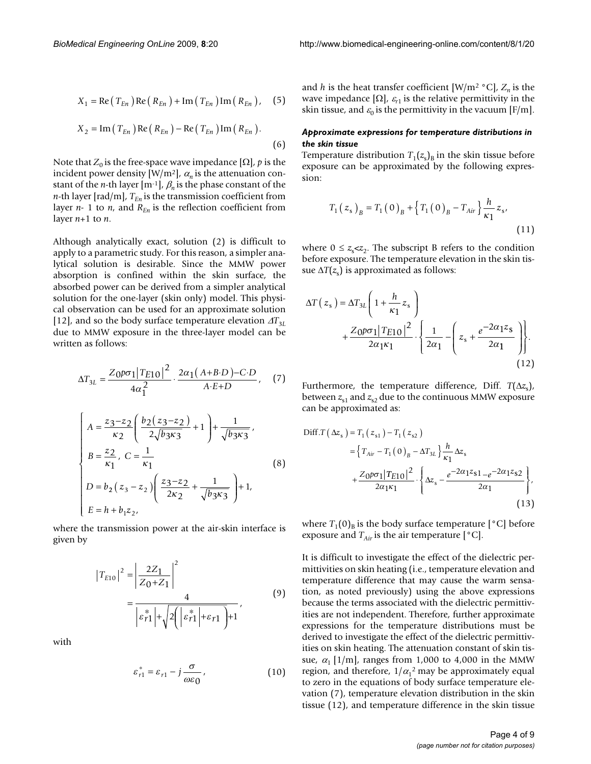$$
X_1 = \text{Re}\left(T_{En}\right)\text{Re}\left(R_{En}\right) + \text{Im}\left(T_{En}\right)\text{Im}\left(R_{En}\right),\quad(5)
$$

$$
X_2 = \text{Im}(T_{En}) \text{Re}(R_{En}) - \text{Re}(T_{En}) \text{Im}(R_{En}).
$$
\n(6)

Note that  $Z_0$  is the free-space wave impedance  $[\Omega]$ , *p* is the incident power density [W/m<sup>2</sup>],  $\alpha_n$  is the attenuation constant of the *n*-th layer  $[m^{-1}]$ ,  $\beta_n$  is the phase constant of the *n*-th layer [rad/m],  $T_{En}$  is the transmission coefficient from layer  $n-1$  to  $n$ , and  $R_{En}$  is the reflection coefficient from layer *n*+1 to *n*.

Although analytically exact, solution (2) is difficult to apply to a parametric study. For this reason, a simpler analytical solution is desirable. Since the MMW power absorption is confined within the skin surface, the absorbed power can be derived from a simpler analytical solution for the one-layer (skin only) model. This physical observation can be used for an approximate solution [12], and so the body surface temperature elevation  $\Delta T_{3L}$ due to MMW exposure in the three-layer model can be written as follows:

$$
\Delta T_{3L} = \frac{Z_0 p \sigma_1 |T_{E10}|^2}{4\alpha_1^2} \cdot \frac{2\alpha_1 (A+B \cdot D) - C \cdot D}{A \cdot E + D}, \quad (7)
$$

$$
\begin{cases}\nA = \frac{z_3 - z_2}{\kappa_2} \left( \frac{b_2 (z_3 - z_2)}{2 \sqrt{b_3 \kappa_3}} + 1 \right) + \frac{1}{\sqrt{b_3 \kappa_3}}, \\
B = \frac{z_2}{\kappa_1}, C = \frac{1}{\kappa_1} \\
D = b_2 (z_3 - z_2) \left( \frac{z_3 - z_2}{2 \kappa_2} + \frac{1}{\sqrt{b_3 \kappa_3}} \right) + 1, \\
E = h + b_1 z_2,\n\end{cases}
$$
\n(8)

where the transmission power at the air-skin interface is given by

$$
|T_{E10}|^2 = \left|\frac{2Z_1}{Z_0 + Z_1}\right|^2
$$
  
= 
$$
\frac{4}{\left|\varepsilon_{r1}^*\right| + \sqrt{2\left(\left|\varepsilon_{r1}^*\right| + \varepsilon_{r1}\right)} + 1},
$$
 (9)

with

$$
\varepsilon_{r1}^* = \varepsilon_{r1} - j\frac{\sigma}{\omega\varepsilon_0},\qquad(10)
$$

and *h* is the heat transfer coefficient  $[W/m^2 \text{ }^{\circ}C]$ ,  $Z_n$  is the wave impedance  $[\Omega]$ ,  $\varepsilon_{r1}$  is the relative permittivity in the skin tissue, and  $\varepsilon_0$  is the permittivity in the vacuum [F/m].

#### *Approximate expressions for temperature distributions in the skin tissue*

Temperature distribution  $T_1(z_s)_B$  in the skin tissue before exposure can be approximated by the following expression:

$$
T_{1}(z_{s})_{B} = T_{1}(0)_{B} + \left\{ T_{1}(0)_{B} - T_{Air} \right\} \frac{h}{\kappa_{1}} z_{s},
$$
\n(11)

where  $0 \leq z_{s} \lt z_{2}$ . The subscript B refers to the condition before exposure. The temperature elevation in the skin tissue  $\Delta T(z_s)$  is approximated as follows:

$$
\Delta T(z_s) = \Delta T_{3L} \left( 1 + \frac{h}{\kappa_1} z_s \right)
$$
  
+ 
$$
\frac{Z_0 p \sigma_1 | T_{E10}|^2}{2\alpha_1 \kappa_1} \cdot \left\{ \frac{1}{2\alpha_1} - \left( z_s + \frac{e^{-2\alpha_1 z_s}}{2\alpha_1} \right) \right\}.
$$
  
(12)

Furthermore, the temperature difference, Diff. *T*(Δ*z*<sub>s</sub>), between  $z_{s1}$  and  $z_{s2}$  due to the continuous MMW exposure can be approximated as:

$$
\begin{split} \text{Diff.}T\left(\Delta z_{s}\right) &= T_{1}\left(z_{s1}\right) - T_{1}\left(z_{s2}\right) \\ &= \left\{T_{Air} - T_{1}\left(0\right)_{B} - \Delta T_{3L}\right\} \frac{h}{\kappa_{1}} \Delta z_{s} \\ &+ \frac{Z_{0}\rho\sigma_{1}|T_{E10}|^{2}}{2\alpha_{1}\kappa_{1}} \cdot \left\{\Delta z_{s} - \frac{e^{-2\alpha_{1}z_{s1}} - e^{-2\alpha_{1}z_{s2}}}{2\alpha_{1}}\right\}, \end{split} \tag{13}
$$

where  $T_1(0)$ <sub>B</sub> is the body surface temperature  $[°C]$  before exposure and  $T_{Air}$  is the air temperature  $[°C]$ .

It is difficult to investigate the effect of the dielectric permittivities on skin heating (i.e., temperature elevation and temperature difference that may cause the warm sensation, as noted previously) using the above expressions because the terms associated with the dielectric permittivities are not independent. Therefore, further approximate expressions for the temperature distributions must be derived to investigate the effect of the dielectric permittivities on skin heating. The attenuation constant of skin tissue,  $\alpha_1$  [1/m], ranges from 1,000 to 4,000 in the MMW region, and therefore,  $1/\alpha_1^2$  may be approximately equal to zero in the equations of body surface temperature elevation (7), temperature elevation distribution in the skin tissue (12), and temperature difference in the skin tissue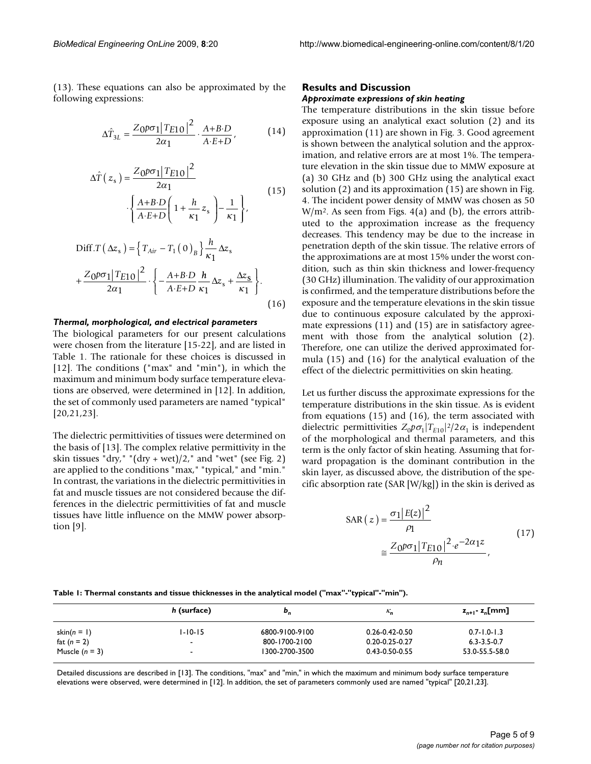(13). These equations can also be approximated by the following expressions:

$$
\Delta \hat{T}_{3L} = \frac{Z_0 \rho \sigma_1 |T_{E10}|^2}{2\alpha_1} \cdot \frac{A + B \cdot D}{A \cdot E + D},\tag{14}
$$

$$
\Delta \hat{T}(z_{s}) = \frac{Z_{0}\rho\sigma_{1}|T_{E10}|^{2}}{2\alpha_{1}}
$$

$$
\left\{\frac{A+B \cdot D}{A \cdot E+D}\left(1+\frac{h}{\kappa_{1}}z_{s}\right)-\frac{1}{\kappa_{1}}\right\},
$$
(15)

$$
\text{Diff.}T\left(\Delta z_{s}\right) = \left\{T_{Air} - T_{1}\left(0\right)_{B}\right\} \frac{h}{\kappa_{1}} \Delta z_{s}
$$
\n
$$
+ \frac{Z_{0}\rho\sigma_{1}|T_{E10}|^{2}}{2\alpha_{1}} \cdot \left\{-\frac{A+B \cdot D}{A \cdot E+D} \frac{h}{\kappa_{1}} \Delta z_{s} + \frac{\Delta z_{s}}{\kappa_{1}}\right\}.\tag{16}
$$

#### *Thermal, morphological, and electrical parameters*

The biological parameters for our present calculations were chosen from the literature [15-22], and are listed in Table 1. The rationale for these choices is discussed in [12]. The conditions ("max" and "min"), in which the maximum and minimum body surface temperature elevations are observed, were determined in [12]. In addition, the set of commonly used parameters are named "typical" [20,21,23].

The dielectric permittivities of tissues were determined on the basis of [13]. The complex relative permittivity in the skin tissues "dry," "(dry + wet)/2," and "wet" (see Fig. 2) are applied to the conditions "max," "typical," and "min." In contrast, the variations in the dielectric permittivities in fat and muscle tissues are not considered because the differences in the dielectric permittivities of fat and muscle tissues have little influence on the MMW power absorption [9].

#### **Results and Discussion**

#### *Approximate expressions of skin heating*

The temperature distributions in the skin tissue before exposure using an analytical exact solution (2) and its approximation (11) are shown in Fig. 3. Good agreement is shown between the analytical solution and the approximation, and relative errors are at most 1%. The temperature elevation in the skin tissue due to MMW exposure at (a) 30 GHz and (b) 300 GHz using the analytical exact solution (2) and its approximation (15) are shown in Fig. 4. The incident power density of MMW was chosen as 50  $W/m<sup>2</sup>$ . As seen from Figs. 4(a) and (b), the errors attributed to the approximation increase as the frequency decreases. This tendency may be due to the increase in penetration depth of the skin tissue. The relative errors of the approximations are at most 15% under the worst condition, such as thin skin thickness and lower-frequency (30 GHz) illumination. The validity of our approximation is confirmed, and the temperature distributions before the exposure and the temperature elevations in the skin tissue due to continuous exposure calculated by the approximate expressions (11) and (15) are in satisfactory agreement with those from the analytical solution (2). Therefore, one can utilize the derived approximated formula (15) and (16) for the analytical evaluation of the effect of the dielectric permittivities on skin heating.

Let us further discuss the approximate expressions for the temperature distributions in the skin tissue. As is evident from equations (15) and (16), the term associated with dielectric permittivities  $Z_0 p \sigma_1 |T_{E10}|^2 / 2 \alpha_1$  is independent of the morphological and thermal parameters, and this term is the only factor of skin heating. Assuming that forward propagation is the dominant contribution in the skin layer, as discussed above, the distribution of the specific absorption rate (SAR [W/kg]) in the skin is derived as

$$
SAR(z) = \frac{\sigma_1 |E(z)|^2}{\rho_1}
$$
  
 
$$
\approx \frac{Z_0 p \sigma_1 |T_{E10}|^2 \cdot e^{-2\alpha_1 z}}{\rho_n},
$$
 (17)

#### **Table 1: Thermal constants and tissue thicknesses in the analytical model ("max"-"typical"-"min").**

|                  | h (surface)              | $\mathbf{b}_n$ | $\kappa_{\rm n}$     | $z_{n+1}$ - $z_n$ [mm] |
|------------------|--------------------------|----------------|----------------------|------------------------|
| skin( $n = 1$ )  | $1 - 10 - 15$            | 6800-9100-9100 | $0.26 - 0.42 - 0.50$ | $0.7 - 1.0 - 1.3$      |
| fat $(n = 2)$    | $\overline{\phantom{0}}$ | 800-1700-2100  | $0.20 - 0.25 - 0.27$ | $6.3 - 3.5 - 0.7$      |
| Muscle $(n = 3)$ | $\overline{\phantom{0}}$ | 1300-2700-3500 | $0.43 - 0.50 - 0.55$ | 53.0-55.5-58.0         |

Detailed discussions are described in [13]. The conditions, "max" and "min," in which the maximum and minimum body surface temperature elevations were observed, were determined in [12]. In addition, the set of parameters commonly used are named "typical" [20,21,23].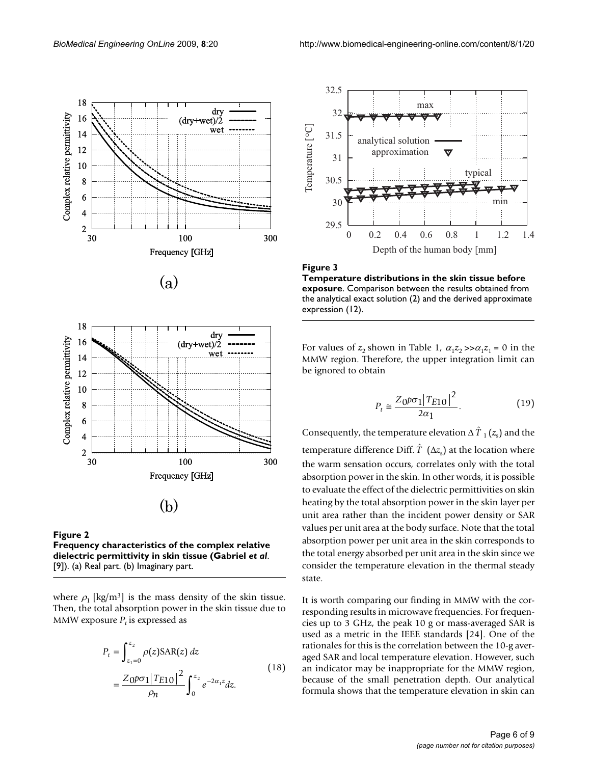









where  $\rho_1$  [kg/m<sup>3</sup>] is the mass density of the skin tissue. Then, the total absorption power in the skin tissue due to MMW exposure  $P_t$  is expressed as

$$
P_{t} = \int_{z_{1}=0}^{z_{2}} \rho(z) \text{SAR}(z) dz
$$
  
= 
$$
\frac{Z_{0} p \sigma_{1} |T_{E10}|^{2}}{\rho_{n}} \int_{0}^{z_{2}} e^{-2\alpha_{1} z} dz.
$$
 (18)



Figure 3 **Temperature distributions in the skin tissue before exposure**. Comparison between the results obtained from the analytical exact solution (2) and the derived approximate expression (12).

For values of  $z_2$  shown in Table 1,  $\alpha_1 z_2 \gg \alpha_1 z_1 = 0$  in the MMW region. Therefore, the upper integration limit can be ignored to obtain

$$
P_t \approx \frac{Z_0 p \sigma_1 |T_{E10}|^2}{2\alpha_1}.
$$
 (19)

Consequently, the temperature elevation  $\Delta\,\hat{T}_{1}\left(z_{{\rm s}}\right)$  and the temperature difference Diff.  $\hat{T}$  ( $\Delta z_{\rm s}$ ) at the location where the warm sensation occurs, correlates only with the total absorption power in the skin. In other words, it is possible to evaluate the effect of the dielectric permittivities on skin heating by the total absorption power in the skin layer per unit area rather than the incident power density or SAR values per unit area at the body surface. Note that the total absorption power per unit area in the skin corresponds to the total energy absorbed per unit area in the skin since we consider the temperature elevation in the thermal steady state.

It is worth comparing our finding in MMW with the corresponding results in microwave frequencies. For frequencies up to 3 GHz, the peak 10 g or mass-averaged SAR is used as a metric in the IEEE standards [24]. One of the rationales for this is the correlation between the 10-g averaged SAR and local temperature elevation. However, such an indicator may be inappropriate for the MMW region, because of the small penetration depth. Our analytical formula shows that the temperature elevation in skin can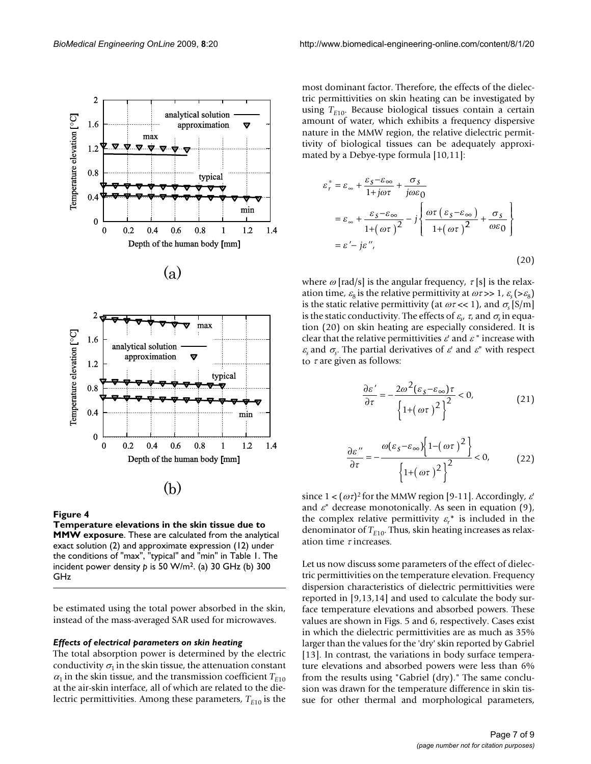



#### Figure 4

**Temperature elevations in the skin tissue due to MMW exposure**. These are calculated from the analytical exact solution (2) and approximate expression (12) under the conditions of "max", "typical" and "min" in Table 1. The incident power density *p* is 50 W/m2. (a) 30 GHz (b) 300 GHz

be estimated using the total power absorbed in the skin, instead of the mass-averaged SAR used for microwaves.

#### *Effects of electrical parameters on skin heating*

The total absorption power is determined by the electric conductivity  $\sigma_1$  in the skin tissue, the attenuation constant  $\alpha_1$  in the skin tissue, and the transmission coefficient  $T_{E10}$ at the air-skin interface, all of which are related to the dielectric permittivities. Among these parameters,  $T_{E10}$  is the most dominant factor. Therefore, the effects of the dielectric permittivities on skin heating can be investigated by using  $T_{E10}$ . Because biological tissues contain a certain amount of water, which exhibits a frequency dispersive nature in the MMW region, the relative dielectric permittivity of biological tissues can be adequately approximated by a Debye-type formula [10,11]:

$$
\varepsilon_r^* = \varepsilon_{\infty} + \frac{\varepsilon_S - \varepsilon_{\infty}}{1 + j\omega\tau} + \frac{\sigma_S}{j\omega\varepsilon_0}
$$
  

$$
= \varepsilon_{\infty} + \frac{\varepsilon_S - \varepsilon_{\infty}}{1 + (\omega\tau)^2} - j \left\{ \frac{\omega\tau (\varepsilon_S - \varepsilon_{\infty})}{1 + (\omega\tau)^2} + \frac{\sigma_S}{\omega\varepsilon_0} \right\}
$$
  

$$
= \varepsilon' - j\varepsilon'', \tag{20}
$$

where  $\omega$  [rad/s] is the angular frequency,  $\tau$  [s] is the relaxation time,  $\varepsilon_8$  is the relative permittivity at  $\omega \tau >> 1$ ,  $\varepsilon_{\rm s} (> \varepsilon_8)$ is the static relative permittivity (at  $\omega \tau \ll 1$ ), and  $\sigma_{\rm s}$  [S/m] is the static conductivity. The effects of  $\varepsilon_{\!s\prime}}\tau_{\rm c}$  and  $\sigma_{\rm s}$  in equation (20) on skin heating are especially considered. It is clear that the relative permittivities  $\varepsilon'$  and  $\varepsilon''$  increase with  $\varepsilon$ <sub>s</sub> and  $\sigma$ <sub>s</sub>. The partial derivatives of  $\varepsilon$ ' and  $\varepsilon$ <sup>"</sup> with respect to  $\tau$  are given as follows:

$$
\frac{\partial \varepsilon'}{\partial \tau} = -\frac{2\omega^2 (\varepsilon_s - \varepsilon_\infty)\tau}{\left\{1 + (\omega\tau)^2\right\}^2} < 0,
$$
\n(21)

$$
\frac{\partial \varepsilon^{\prime\prime}}{\partial \tau} = -\frac{\omega(\varepsilon_{\mathcal{S}} - \varepsilon_{\infty}) \left\{ 1 - (\omega \tau)^2 \right\}}{\left\{ 1 + (\omega \tau)^2 \right\}^2} < 0,
$$
 (22)

since  $1 < (\omega \tau)^2$  for the MMW region [9-11]. Accordingly,  $\varepsilon'$ and  $\varepsilon$ <sup>"</sup> decrease monotonically. As seen in equation (9), the complex relative permittivity  $\varepsilon_r^*$  is included in the denominator of  $T_{E10}$ . Thus, skin heating increases as relaxation time  $\tau$  increases.

Let us now discuss some parameters of the effect of dielectric permittivities on the temperature elevation. Frequency dispersion characteristics of dielectric permittivities were reported in [9,13,14] and used to calculate the body surface temperature elevations and absorbed powers. These values are shown in Figs. 5 and 6, respectively. Cases exist in which the dielectric permittivities are as much as 35% larger than the values for the 'dry' skin reported by Gabriel [13]. In contrast, the variations in body surface temperature elevations and absorbed powers were less than 6% from the results using "Gabriel (dry)." The same conclusion was drawn for the temperature difference in skin tissue for other thermal and morphological parameters,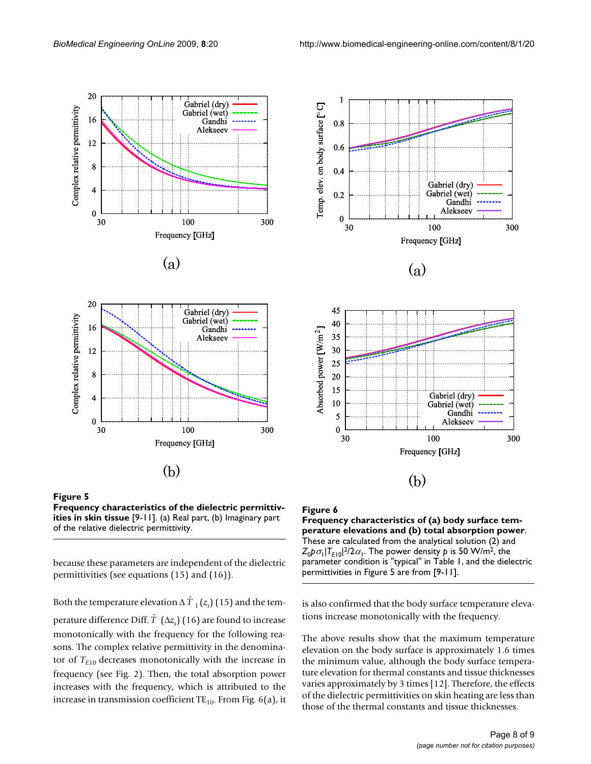

 $(a)$ 





because these parameters are independent of the dielectric permittivities (see equations (15) and (16)).

Both the temperature elevation Δ  $\hat{T}$  <sub>1</sub> ( $z_{\text{s}}$ ) (15) and the temperature difference Diff.  $\hat{T} \; \left( \Delta z_{s} \right)$  (16) are found to increase monotonically with the frequency for the following reasons. The complex relative permittivity in the denominator of  $T_{E10}$  decreases monotonically with the increase in frequency (see Fig. 2). Then, the total absorption power increases with the frequency, which is attributed to the increase in transmission coefficient  $TE_{10}$ . From Fig. 6(a), it





**Frequency characteristics of (a) body surface temperature elevations and (b) total absorption power**. These are calculated from the analytical solution (2) and  $Z_0 p \sigma_1 |T_{E10}|^2 / 2 \alpha_1$ . The power density *p* is 50 W/m<sup>2</sup>, the parameter condition is "typical" in Table 1, and the dielectric permittivities in Figure 5 are from [9-11].

is also confirmed that the body surface temperature elevations increase monotonically with the frequency.

The above results show that the maximum temperature elevation on the body surface is approximately 1.6 times the minimum value, although the body surface temperature elevation for thermal constants and tissue thicknesses varies approximately by 3 times [12]. Therefore, the effects of the dielectric permittivities on skin heating are less than those of the thermal constants and tissue thicknesses.